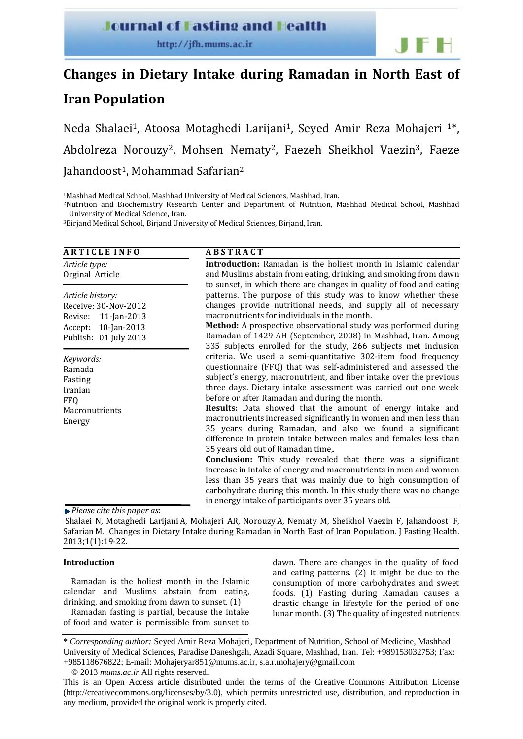# **Journal of Fasting and Health**

# **Changes in Dietary Intake during Ramadan in North East of**

# **Iran Population**

Neda Shalaei<sup>1</sup>, Atoosa Motaghedi Larijani<sup>1</sup>, Seyed Amir Reza Mohajeri <sup>1\*</sup>, Abdolreza Norouzy<sup>2</sup>, Mohsen Nematy<sup>2</sup>, Faezeh Sheikhol Vaezin<sup>3</sup>, Faeze Jahandoost<sup>1</sup>, Mohammad Safarian<sup>2</sup>

1Mashhad Medical School, Mashhad University of Medical Sciences, Mashhad, Iran.

2Nutrition and Biochemistry Research Center and Department of Nutrition, Mashhad Medical School, Mashhad University of Medical Science, Iran.

3Birjand Medical School, Birjand University of Medical Sciences, Birjand, Iran.

| <b>ARTICLE INFO</b>                                                                 | <b>ABSTRACT</b>                                                                                                                                                                                                                                                                                                                                                                                                                                                                                                                                                                                                                                                                                                                                                                                                                                                                                                                                                            |  |  |  |  |  |  |  |
|-------------------------------------------------------------------------------------|----------------------------------------------------------------------------------------------------------------------------------------------------------------------------------------------------------------------------------------------------------------------------------------------------------------------------------------------------------------------------------------------------------------------------------------------------------------------------------------------------------------------------------------------------------------------------------------------------------------------------------------------------------------------------------------------------------------------------------------------------------------------------------------------------------------------------------------------------------------------------------------------------------------------------------------------------------------------------|--|--|--|--|--|--|--|
| Article type:                                                                       | <b>Introduction:</b> Ramadan is the holiest month in Islamic calendar                                                                                                                                                                                                                                                                                                                                                                                                                                                                                                                                                                                                                                                                                                                                                                                                                                                                                                      |  |  |  |  |  |  |  |
| Orginal Article                                                                     | and Muslims abstain from eating, drinking, and smoking from dawn                                                                                                                                                                                                                                                                                                                                                                                                                                                                                                                                                                                                                                                                                                                                                                                                                                                                                                           |  |  |  |  |  |  |  |
| Article history:                                                                    | to sunset, in which there are changes in quality of food and eating                                                                                                                                                                                                                                                                                                                                                                                                                                                                                                                                                                                                                                                                                                                                                                                                                                                                                                        |  |  |  |  |  |  |  |
| Receive: 30-Nov-2012                                                                | patterns. The purpose of this study was to know whether these                                                                                                                                                                                                                                                                                                                                                                                                                                                                                                                                                                                                                                                                                                                                                                                                                                                                                                              |  |  |  |  |  |  |  |
| Revise:                                                                             | changes provide nutritional needs, and supply all of necessary                                                                                                                                                                                                                                                                                                                                                                                                                                                                                                                                                                                                                                                                                                                                                                                                                                                                                                             |  |  |  |  |  |  |  |
| 11-Jan-2013                                                                         | macronutrients for individuals in the month.                                                                                                                                                                                                                                                                                                                                                                                                                                                                                                                                                                                                                                                                                                                                                                                                                                                                                                                               |  |  |  |  |  |  |  |
| 10-Jan-2013                                                                         | <b>Method:</b> A prospective observational study was performed during                                                                                                                                                                                                                                                                                                                                                                                                                                                                                                                                                                                                                                                                                                                                                                                                                                                                                                      |  |  |  |  |  |  |  |
| Accept:                                                                             | Ramadan of 1429 AH (September, 2008) in Mashhad, Iran. Among                                                                                                                                                                                                                                                                                                                                                                                                                                                                                                                                                                                                                                                                                                                                                                                                                                                                                                               |  |  |  |  |  |  |  |
| Publish: 01 July 2013                                                               | 335 subjects enrolled for the study, 266 subjects met inclusion                                                                                                                                                                                                                                                                                                                                                                                                                                                                                                                                                                                                                                                                                                                                                                                                                                                                                                            |  |  |  |  |  |  |  |
| Keywords:<br>Ramada<br>Fasting<br>Iranian<br><b>FFQ</b><br>Macronutrients<br>Energy | criteria. We used a semi-quantitative 302-item food frequency<br>questionnaire (FFQ) that was self-administered and assessed the<br>subject's energy, macronutrient, and fiber intake over the previous<br>three days. Dietary intake assessment was carried out one week<br>before or after Ramadan and during the month.<br>Results: Data showed that the amount of energy intake and<br>macronutrients increased significantly in women and men less than<br>35 years during Ramadan, and also we found a significant<br>difference in protein intake between males and females less than<br>35 years old out of Ramadan time,.<br><b>Conclusion:</b> This study revealed that there was a significant<br>increase in intake of energy and macronutrients in men and women<br>less than 35 years that was mainly due to high consumption of<br>carbohydrate during this month. In this study there was no change<br>in energy intake of participants over 35 years old. |  |  |  |  |  |  |  |

*Please cite this paper as*:

 Shalaei N, Motaghedi Larijani A, Mohajeri AR, Norouzy A, Nematy M, Sheikhol Vaezin F, Jahandoost F, Safarian M. Changes in Dietary Intake during Ramadan in North East of Iran Population. J Fasting Health. 2013;1(1):19‐22.

# **Introduction**

Ramadan is the holiest month in the Islamic calendar and Muslims abstain from eating, drinking, and smoking from dawn to sunset. (1)

Ramadan fasting is partial, because the intake of food and water is permissible from sunset to dawn. There are changes in the quality of food and eating patterns. (2) It might be due to the consumption of more carbohydrates and sweet foods. (1) Fasting during Ramadan causes a drastic change in lifestyle for the period of one lunar month. (3) The quality of ingested nutrients

<sup>\*</sup> *Corresponding author:* Seyed Amir Reza Mohajeri, Department of Nutrition, School of Medicine, Mashhad University of Medical Sciences, Paradise Daneshgah, Azadi Square, Mashhad, Iran. Tel: +989153032753; Fax: +985118676822; E-mail: Mohajeryar851@mums.ac.ir, s.a.r.mohajery@gmail.com

<sup>© 2013</sup> *mums.ac.ir* All rights reserved.

This is an Open Access article distributed under the terms of the Creative Commons Attribution License (http://creativecommons.org/licenses/by/3.0), which permits unrestricted use, distribution, and reproduction in any medium, provided the original work is properly cited.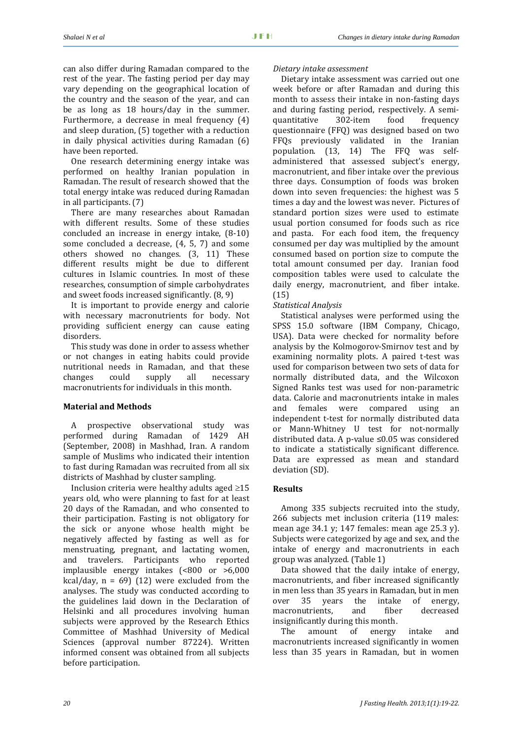can also differ during Ramadan compared to the rest of the vear. The fasting period per day may vary depending on the geographical location of the country and the season of the year, and can be as long as 18 hours/day in the summer. Furthermore, a decrease in meal frequency (4) and sleep duration, (5) together with a reduction in daily physical activities during Ramadan (6) have been reported.

One research determining energy intake was performed on healthy Iranian population in Ramadan. The result of research showed that the total energy intake was reduced during Ramadan in all participants. (7)

There are many researches about Ramadan with different results. Some of these studies concluded an increase in energy intake, (8‐10) some concluded a decrease,  $(4, 5, 7)$  and some others showed no changes. (3, 11) These different results might be due to different cultures in Islamic countries. In most of these researches, consumption of simple carbohydrates and sweet foods increased significantly. (8, 9)

It is important to provide energy and calorie with necessary macronutrients for body. Not providing sufficient energy can cause eating disorders.

This study was done in order to assess whether or not changes in eating habits could provide nutritional needs in Ramadan, and that these changes could supply all necessary macronutrients for individuals in this month.

# **Material and Methods**

A prospective observational study was performed during Ramadan of 1429 AH (September, 2008) in Mashhad, Iran. A random sample of Muslims who indicated their intention to fast during Ramadan was recruited from all six districts of Mashhad by cluster sampling.

Inclusion criteria were healthy adults aged ≥15 years old, who were planning to fast for at least 20 days of the Ramadan, and who consented to their participation. Fasting is not obligatory for the sick or anyone whose health might be negatively affected by fasting as well as for menstruating, pregnant, and lactating women, and travelers. Participants who reported implausible energy intakes  $($  <800 or >6,000 kcal/day,  $n = 69$ ) (12) were excluded from the analyses. The study was conducted according to the guidelines laid down in the Declaration of Helsinki and all procedures involving human subjects were approved by the Research Ethics Committee of Mashhad University of Medical Sciences (approval number 87224). Written informed consent was obtained from all subjects before participation.

## *Dietary intake assessment*

Dietary intake assessment was carried out one week before or after Ramadan and during this month to assess their intake in non-fasting days and during fasting period, respectively. A semi‐ quantitative 302‐item food frequency questionnaire (FFQ) was designed based on two FFQs previously validated in the Iranian population. (13, 14) The FFQ was self‐ administered that assessed subject's energy, macronutrient, and fiber intake over the previous three days. Consumption of foods was broken down into seven frequencies: the highest was 5 times a day and the lowest was never. Pictures of standard portion sizes were used to estimate usual portion consumed for foods such as rice and pasta. For each food item, the frequency consumed per day was multiplied by the amount consumed based on portion size to compute the total amount consumed per day. Iranian food composition tables were used to calculate the daily energy, macronutrient, and fiber intake. (15)

# *Statistical Analysis*

Statistical analyses were performed using the SPSS 15.0 software (IBM Company, Chicago, USA). Data were checked for normality before analysis by the Kolmogorov‐Smirnov test and by examining normality plots. A paired t-test was used for comparison between two sets of data for normally distributed data, and the Wilcoxon Signed Ranks test was used for non‐parametric data. Calorie and macronutrients intake in males and females were compared using an independent t‐test for normally distributed data or Mann‐Whitney U test for not‐normally distributed data. A p‐value ≤0.05 was considered to indicate a statistically significant difference. Data are expressed as mean and standard deviation (SD).

# **Results**

Among 335 subjects recruited into the study, 266 subjects met inclusion criteria (119 males: mean age 34.1 y; 147 females: mean age 25.3 y). Subjects were categorized by age and sex, and the intake of energy and macronutrients in each group was analyzed. (Table 1)

Data showed that the daily intake of energy, macronutrients, and fiber increased significantly in men less than 35 years in Ramadan, but in men over 35 years the intake of energy, macronutrients, and fiber decreased insignificantly during this month.

The amount of energy intake and macronutrients increased significantly in women less than 35 years in Ramadan, but in women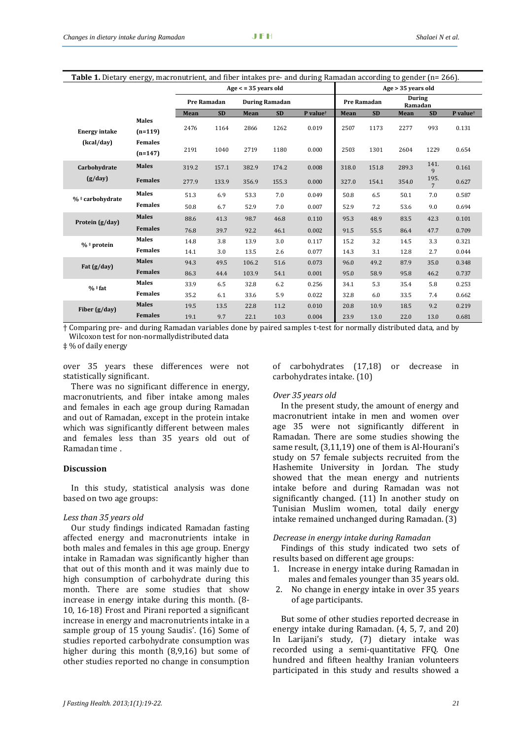| <b>Table 1.</b> Dietary energy, macronutrient, and fiber intakes pre- and during Ramadan according to gender (n= 266). |                |                    |           |                       |           |                      |                    |           |                          |                        |                      |  |  |
|------------------------------------------------------------------------------------------------------------------------|----------------|--------------------|-----------|-----------------------|-----------|----------------------|--------------------|-----------|--------------------------|------------------------|----------------------|--|--|
|                                                                                                                        |                | Age < 35 years old |           |                       |           |                      | Age > 35 years old |           |                          |                        |                      |  |  |
|                                                                                                                        |                | <b>Pre Ramadan</b> |           | <b>During Ramadan</b> |           |                      | <b>Pre Ramadan</b> |           | <b>During</b><br>Ramadan |                        |                      |  |  |
|                                                                                                                        |                | Mean               | <b>SD</b> | Mean                  | <b>SD</b> | P value <sup>+</sup> | Mean               | <b>SD</b> | Mean                     | <b>SD</b>              | P value <sup>+</sup> |  |  |
| <b>Energy intake</b><br>(kcal/day)                                                                                     | <b>Males</b>   | 2476               | 1164      | 2866                  | 1262      | 0.019                | 2507               | 1173      | 2277                     | 993                    | 0.131                |  |  |
|                                                                                                                        | $(n=119)$      |                    |           |                       |           |                      |                    |           |                          |                        |                      |  |  |
|                                                                                                                        | <b>Females</b> |                    |           |                       |           |                      |                    |           |                          |                        |                      |  |  |
|                                                                                                                        | $(n=147)$      | 2191               | 1040      | 2719                  | 1180      | 0.000                | 2503               | 1301      | 2604                     | 1229                   | 0.654                |  |  |
| Carbohydrate<br>(g/day)                                                                                                | <b>Males</b>   | 319.2              | 157.1     | 382.9                 | 174.2     | 0.008                | 318.0              | 151.8     | 289.3                    | 141.<br>9              | 0.161                |  |  |
|                                                                                                                        | <b>Females</b> | 277.9              | 133.9     | 356.9                 | 155.3     | 0.000                | 327.0              | 154.1     | 354.0                    | 195.<br>$\overline{7}$ | 0.627                |  |  |
| % * carbohydrate                                                                                                       | <b>Males</b>   | 51.3               | 6.9       | 53.3                  | 7.0       | 0.049                | 50.8               | 6.5       | 50.1                     | 7.0                    | 0.587                |  |  |
|                                                                                                                        | <b>Females</b> | 50.8               | 6.7       | 52.9                  | 7.0       | 0.007                | 52.9               | 7.2       | 53.6                     | 9.0                    | 0.694                |  |  |
| Protein (g/day)                                                                                                        | <b>Males</b>   | 88.6               | 41.3      | 98.7                  | 46.8      | 0.110                | 95.3               | 48.9      | 83.5                     | 42.3                   | 0.101                |  |  |
|                                                                                                                        | <b>Females</b> | 76.8               | 39.7      | 92.2                  | 46.1      | 0.002                | 91.5               | 55.5      | 86.4                     | 47.7                   | 0.709                |  |  |
| $%$ # protein                                                                                                          | <b>Males</b>   | 14.8               | 3.8       | 13.9                  | 3.0       | 0.117                | 15.2               | 3.2       | 14.5                     | 3.3                    | 0.321                |  |  |
|                                                                                                                        | <b>Females</b> | 14.1               | 3.0       | 13.5                  | 2.6       | 0.077                | 14.3               | 3.1       | 12.8                     | 2.7                    | 0.044                |  |  |
| Fat (g/day)                                                                                                            | <b>Males</b>   | 94.3               | 49.5      | 106.2                 | 51.6      | 0.073                | 96.0               | 49.2      | 87.9                     | 35.0                   | 0.348                |  |  |
|                                                                                                                        | <b>Females</b> | 86.3               | 44.4      | 103.9                 | 54.1      | 0.001                | 95.0               | 58.9      | 95.8                     | 46.2                   | 0.737                |  |  |
| $%$ #fat                                                                                                               | <b>Males</b>   | 33.9               | 6.5       | 32.8                  | 6.2       | 0.256                | 34.1               | 5.3       | 35.4                     | 5.8                    | 0.253                |  |  |
|                                                                                                                        | <b>Females</b> | 35.2               | 6.1       | 33.6                  | 5.9       | 0.022                | 32.8               | 6.0       | 33.5                     | 7.4                    | 0.662                |  |  |
| Fiber $(g/day)$                                                                                                        | <b>Males</b>   | 19.5               | 13.5      | 22.8                  | 11.2      | 0.010                | 20.8               | 10.9      | 18.5                     | 9.2                    | 0.219                |  |  |
|                                                                                                                        | <b>Females</b> | 19.1               | 9.7       | 22.1                  | 10.3      | 0.004                | 23.9               | 13.0      | 22.0                     | 13.0                   | 0.681                |  |  |

† Comparing pre‐ and during Ramadan variables done by paired samples t‐test for normally distributed data, and by Wilcoxon test for non‐normallydistributed data

‡ % of daily energy

over 35 years these differences were not statistically significant.

There was no significant difference in energy, macronutrients, and fiber intake among males and females in each age group during Ramadan and out of Ramadan, except in the protein intake which was significantly different between males and females less than 35 years old out of Ramadan time .

## **Discussion**

In this study, statistical analysis was done based on two age groups:

#### *Less than 35 years old*

Our study findings indicated Ramadan fasting affected energy and macronutrients intake in both males and females in this age group. Energy intake in Ramadan was significantly higher than that out of this month and it was mainly due to high consumption of carbohydrate during this month. There are some studies that show increase in energy intake during this month. (8‐ 10, 16‐18) Frost and Pirani reported a significant increase in energy and macronutrients intake in a sample group of 15 young Saudis'. (16) Some of studies reported carbohydrate consumption was higher during this month  $(8,9,16)$  but some of other studies reported no change in consumption of carbohydrates (17,18) or decrease in carbohydrates intake. (10)

#### *Over 35 years old*

In the present study, the amount of energy and macronutrient intake in men and women over age 35 were not significantly different in Ramadan. There are some studies showing the same result, (3,11,19) one of them is Al-Hourani's study on 57 female subjects recruited from the Hashemite University in Jordan. The study showed that the mean energy and nutrients intake before and during Ramadan was not significantly changed. (11) In another study on Tunisian Muslim women, total daily energy intake remained unchanged during Ramadan. (3)

#### *Decrease in energy intake during Ramadan*

Findings of this study indicated two sets of results based on different age groups:

- 1. Increase in energy intake during Ramadan in males and females younger than 35 years old.
- 2. No change in energy intake in over 35 years of age participants.

But some of other studies reported decrease in energy intake during Ramadan. (4, 5, 7, and 20) In Larijani's study, (7) dietary intake was recorded using a semi‐quantitative FFQ. One hundred and fifteen healthy Iranian volunteers participated in this study and results showed a